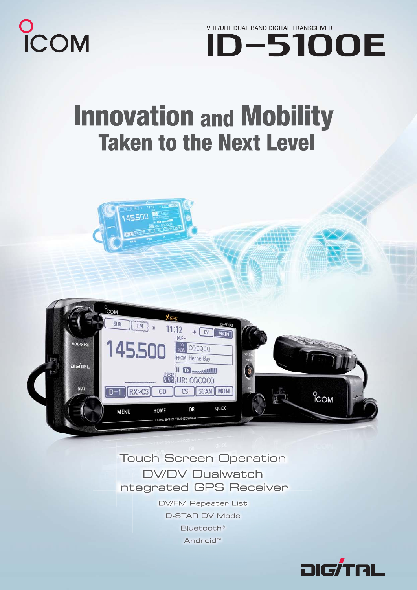

VHF/UHF DUAL BAND DIGITAL TRANSCEIVER **D-5100E** 

## **Innovation and Mobility Taken to the Next Level**

**A5500** 



### **Touch Screen Operation DV/DV Dualwatch Integrated GPS Receiver**

**DV/FM Repeater List D-STAR DV Mode** Bluetooth® Android<sup>™</sup>

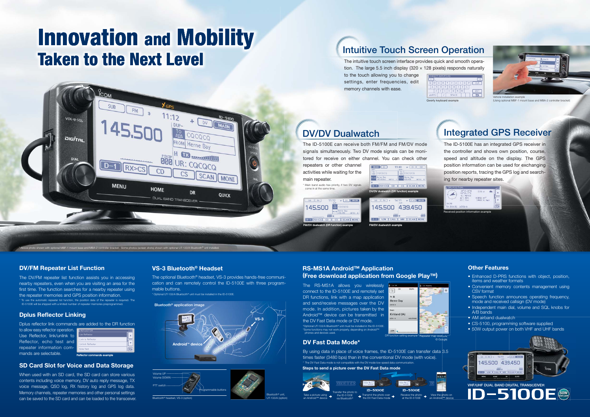

© Google

The RS-MS1A allows you wirelessly connect to the ID-5100E and remotely set DR functions, link with a map application and send/receive messages over the DV mode. In addition, pictures taken by the Android™ device can be transmitted in the DV Fast Data mode or DV mode. \*Optional UT-133/A Bluetooth® unit must be installed in the ID-5100E. \*Some functions may not work properly, depending on Android™ phones and devices used.

The DV/FM repeater list function assists you in accessing nearby repeaters, even when you are visiting an area for the first time. The function searches for a nearby repeater using the repeater memories and GPS position information. To use the automatic repeater list function, the position data of the repeater is required. The ID-5100E will be shipped with a limited number of repeater me

- Enhanced D-PRS functions with object, position, items and weather formats
- Convenient memory contents management using CSV format
- Speech function announces operating frequency, mode and received callsign (DV mode)
- Independent main dial, volume and SQL knobs for A/B bands
- $\bullet^-$ AM airband dualwatch
- CS-5100, programming software supplied
- 50W output power on both VHF and UHF bands

to allow easy reflector operation. **FEREELECT** Use Reflector, link/unlink to Reflector, echo test and repeater information commands are selectable.

#### **RS-MS1A Android™ Application (Free download application from Google Play™)**

**Steps to send a picture over the DV Fast Data mode**

#### **DV/FM Repeater List Function**



#### **Dplus Reflector Linking**

Bluetooth® headset, VS-3 (option) Volume UPVolume DOW PTT switch Programmable buttons

Dplus reflector link commands are added to the DR function

#### **SD Card Slot for Voice and Data Storage**

When used with an SD card, the SD card can store various contents including voice memory, DV auto reply message, TX voice message, QSO log, RX history log and GPS log data. Memory channels, repeater memories and other personal settings can be saved to the SD card and can be loaded to the transceiver.

# **Innovation and Mobility Taken to the Next Level**

## **Integrated GPS Receiver**

| I                          | Use Reflector           |  |  |  |  |  |  |  |  |
|----------------------------|-------------------------|--|--|--|--|--|--|--|--|
|                            | Link to Reflector       |  |  |  |  |  |  |  |  |
|                            | <b>Unlink Reflector</b> |  |  |  |  |  |  |  |  |
|                            | Echo Test               |  |  |  |  |  |  |  |  |
| Reflector commands example |                         |  |  |  |  |  |  |  |  |

la

Vehicle installation example (Using optional MBF-1 mount base and MBA-2 controller bracket)



#### **Other Features**



|              |   |  | ш |   |   |  | Ō | P |  | CLR        |  |
|--------------|---|--|---|---|---|--|---|---|--|------------|--|
|              | G |  | н |   |   |  |   |   |  |            |  |
|              | U |  | B | N | M |  |   |   |  | <b>ENT</b> |  |
| <b>SPACE</b> |   |  |   |   |   |  |   |   |  |            |  |
|              |   |  |   |   |   |  |   |   |  |            |  |

The optional Bluetooth® headset, VS-3 provides hands-free communication and can remotely control the ID-5100E with three programmable buttons.

\* Optional UT-133/A Bluetooth® unit must be installed in the ID-5100E.

#### **VS-3 Bluetooth® Headset**



**Bluetooth® application image**



## **Intuitive Touch Screen Operation**





the controller and shows own position, course, speed and altitude on the display. The GPS position information can be used for exchanging position reports, tracing the GPS log and searching for nearby repeater sites.

The intuitive touch screen interface provides quick and smooth operation. The large 5.5 inch display (320  $\times$  128 pixels) responds naturally to the touch allowing you to change settings, enter frequencies, edit memory channels with ease.

#### **DV Fast Data Mode\***

By using data in place of voice frames, the ID-5100E can transfer data 3.5 times faster (3480 bps) than in the conventional DV mode (with voice). \* The DV Fast Data mode is not compatible with the DV mode low-speed data communication.